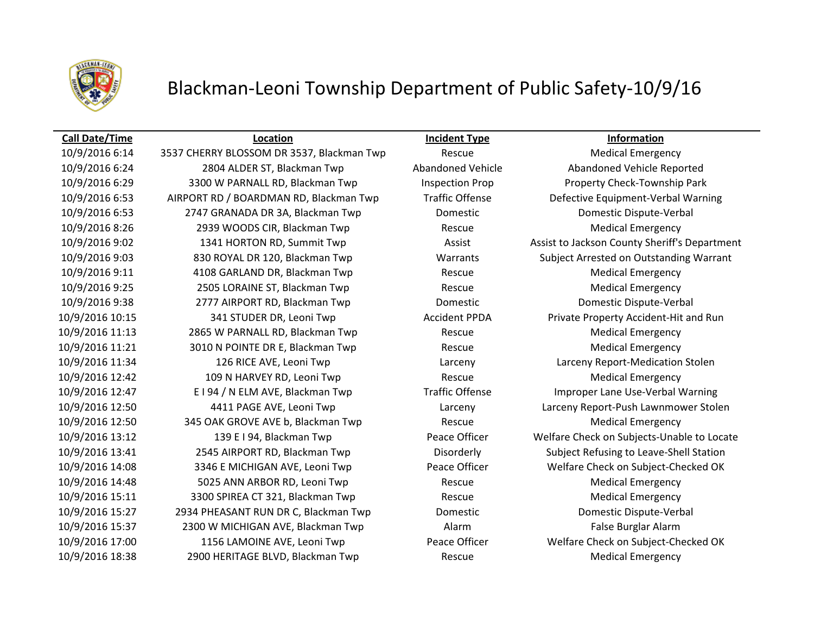

# Blackman-Leoni Township Department of Public Safety-10/9/16

## **Call Date/Time Location Incident Type Information**

10/9/2016 6:24 2804 ALDER ST, Blackman Twp Abandoned Vehicle Abandoned Vehicle Reported 10/9/2016 6:29 3300 W PARNALL RD, Blackman Twp Inspection Prop Property Check-Township Park 10/9/2016 6:53 AIRPORT RD / BOARDMAN RD, Blackman Twp Traffic Offense Defective Equipment-Verbal Warning 10/9/2016 6:53 2747 GRANADA DR 3A, Blackman Twp Domestic Domestic Dispute-Verbal 10/9/2016 8:26 2939 WOODS CIR, Blackman Twp Rescue Medical Emergency 10/9/2016 9:02 1341 HORTON RD, Summit Twp Assist Assist Assist to Jackson County Sheriff's Department 10/9/2016 9:03 830 ROYAL DR 120, Blackman Twp Warrants Subject Arrested on Outstanding Warrant 10/9/2016 9:11 4108 GARLAND DR, Blackman Twp Rescue Medical Emergency 10/9/2016 9:25 2505 LORAINE ST, Blackman Twp Rescue Medical Emergency 10/9/2016 9:38 2777 AIRPORT RD, Blackman Twp Domestic Domestic Dispute-Verbal 10/9/2016 10:15 341 STUDER DR, Leoni Twp Accident PPDA Private Property Accident-Hit and Run 10/9/2016 11:13 2865 W PARNALL RD, Blackman Twp Rescue Medical Emergency 10/9/2016 11:21 3010 N POINTE DR E, Blackman Twp Rescue Medical Emergency 10/9/2016 11:34 126 RICE AVE, Leoni Twp Larceny Larceny Report-Medication Stolen 10/9/2016 12:42 109 N HARVEY RD, Leoni Twp Rescue Medical Emergency 10/9/2016 12:47 E I 94 / N ELM AVE, Blackman Twp Traffic Offense Improper Lane Use-Verbal Warning 10/9/2016 12:50 4411 PAGE AVE, Leoni Twp Larceny Larceny Report-Push Lawnmower Stolen 10/9/2016 12:50 345 OAK GROVE AVE b, Blackman Twp Rescue Medical Emergency 10/9/2016 13:12 139 E I 94, Blackman Twp Peace Officer Welfare Check on Subjects-Unable to Locate 10/9/2016 13:41 2545 AIRPORT RD, Blackman Twp Disorderly Subject Refusing to Leave-Shell Station 10/9/2016 14:08 3346 E MICHIGAN AVE, Leoni Twp Peace Officer Welfare Check on Subject-Checked OK 10/9/2016 14:48 5025 ANN ARBOR RD, Leoni Twp Rescue Medical Emergency 10/9/2016 15:11 3300 SPIREA CT 321, Blackman Twp Rescue Medical Emergency 10/9/2016 15:27 2934 PHEASANT RUN DR C, Blackman Twp Domestic Domestic Dispute-Verbal 10/9/2016 15:37 2300 W MICHIGAN AVE, Blackman Twp Alarm Alarm False Burglar Alarm 10/9/2016 17:00 1156 LAMOINE AVE, Leoni Twp Peace Officer Welfare Check on Subject-Checked OK 10/9/2016 18:38 2900 HERITAGE BLVD, Blackman Twp Rescue Medical Emergency

10/9/2016 6:14 3537 CHERRY BLOSSOM DR 3537, Blackman Twp Rescue Medical Emergency